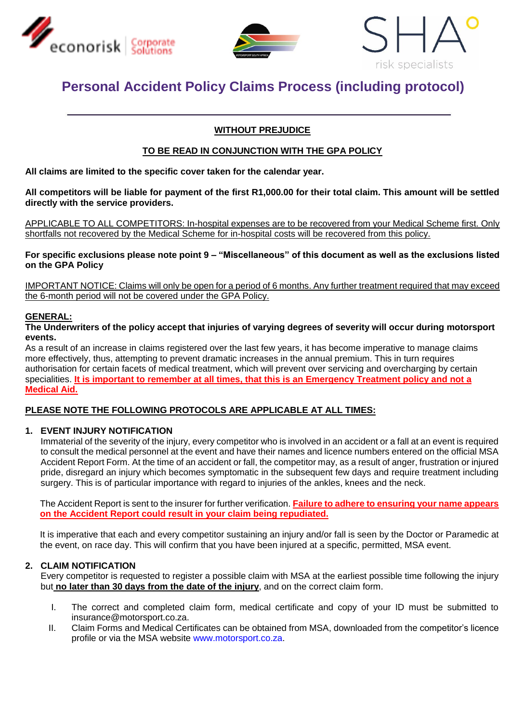





# **Personal Accident Policy Claims Process (including protocol)**

## **WITHOUT PREJUDICE**

## **TO BE READ IN CONJUNCTION WITH THE GPA POLICY**

**All claims are limited to the specific cover taken for the calendar year.** 

**All competitors will be liable for payment of the first R1,000.00 for their total claim. This amount will be settled directly with the service providers.**

APPLICABLE TO ALL COMPETITORS: In-hospital expenses are to be recovered from your Medical Scheme first. Only shortfalls not recovered by the Medical Scheme for in-hospital costs will be recovered from this policy.

**For specific exclusions please note point 9 – "Miscellaneous" of this document as well as the exclusions listed on the GPA Policy**

IMPORTANT NOTICE: Claims will only be open for a period of 6 months. Any further treatment required that may exceed the 6-month period will not be covered under the GPA Policy.

## **GENERAL:**

#### **The Underwriters of the policy accept that injuries of varying degrees of severity will occur during motorsport events.**

As a result of an increase in claims registered over the last few years, it has become imperative to manage claims more effectively, thus, attempting to prevent dramatic increases in the annual premium. This in turn requires authorisation for certain facets of medical treatment, which will prevent over servicing and overcharging by certain specialities. **It is important to remember at all times, that this is an Emergency Treatment policy and not a Medical Aid.**

## **PLEASE NOTE THE FOLLOWING PROTOCOLS ARE APPLICABLE AT ALL TIMES:**

#### **1. EVENT INJURY NOTIFICATION**

Immaterial of the severity of the injury, every competitor who is involved in an accident or a fall at an event is required to consult the medical personnel at the event and have their names and licence numbers entered on the official MSA Accident Report Form. At the time of an accident or fall, the competitor may, as a result of anger, frustration or injured pride, disregard an injury which becomes symptomatic in the subsequent few days and require treatment including surgery. This is of particular importance with regard to injuries of the ankles, knees and the neck.

The Accident Report is sent to the insurer for further verification. **Failure to adhere to ensuring your name appears on the Accident Report could result in your claim being repudiated.** 

It is imperative that each and every competitor sustaining an injury and/or fall is seen by the Doctor or Paramedic at the event, on race day. This will confirm that you have been injured at a specific, permitted, MSA event.

#### **2. CLAIM NOTIFICATION**

Every competitor is requested to register a possible claim with MSA at the earliest possible time following the injury but **no later than 30 days from the date of the injury**, and on the correct claim form.

- I. The correct and completed claim form, medical certificate and copy of your ID must be submitted to insurance@motorsport.co.za.
- II. Claim Forms and Medical Certificates can be obtained from MSA, downloaded from the competitor's licence profile or via the MSA website [www.motorsport.co.za.](http://www.motorsport.co.za/)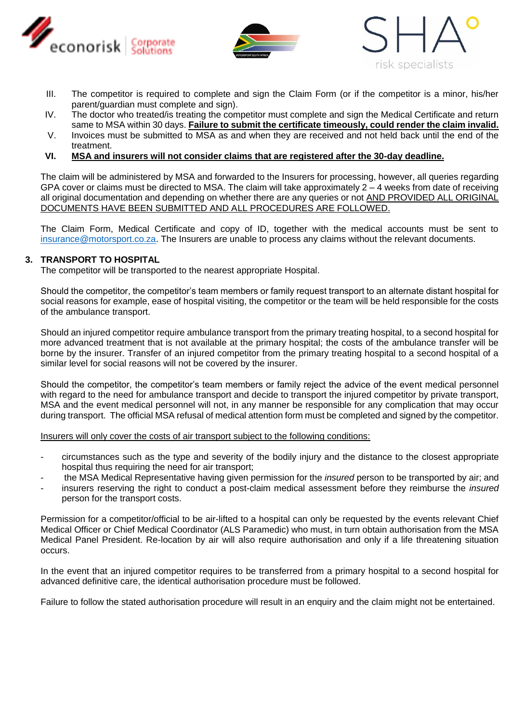





- III. The competitor is required to complete and sign the Claim Form (or if the competitor is a minor, his/her parent/guardian must complete and sign).
- IV. The doctor who treated/is treating the competitor must complete and sign the Medical Certificate and return same to MSA within 30 days. **Failure to submit the certificate timeously, could render the claim invalid.**
- V. Invoices must be submitted to MSA as and when they are received and not held back until the end of the treatment.
- **VI. MSA and insurers will not consider claims that are registered after the 30-day deadline.**

The claim will be administered by MSA and forwarded to the Insurers for processing, however, all queries regarding GPA cover or claims must be directed to MSA. The claim will take approximately  $2 - 4$  weeks from date of receiving all original documentation and depending on whether there are any queries or not AND PROVIDED ALL ORIGINAL DOCUMENTS HAVE BEEN SUBMITTED AND ALL PROCEDURES ARE FOLLOWED.

The Claim Form, Medical Certificate and copy of ID, together with the medical accounts must be sent to [insurance@motorsport.co.za.](mailto:insurance@motorsport.co.za) The Insurers are unable to process any claims without the relevant documents.

## **3. TRANSPORT TO HOSPITAL**

The competitor will be transported to the nearest appropriate Hospital.

Should the competitor, the competitor's team members or family request transport to an alternate distant hospital for social reasons for example, ease of hospital visiting, the competitor or the team will be held responsible for the costs of the ambulance transport.

Should an injured competitor require ambulance transport from the primary treating hospital, to a second hospital for more advanced treatment that is not available at the primary hospital; the costs of the ambulance transfer will be borne by the insurer. Transfer of an injured competitor from the primary treating hospital to a second hospital of a similar level for social reasons will not be covered by the insurer.

Should the competitor, the competitor's team members or family reject the advice of the event medical personnel with regard to the need for ambulance transport and decide to transport the injured competitor by private transport, MSA and the event medical personnel will not, in any manner be responsible for any complication that may occur during transport. The official MSA refusal of medical attention form must be completed and signed by the competitor.

Insurers will only cover the costs of air transport subject to the following conditions:

- circumstances such as the type and severity of the bodily injury and the distance to the closest appropriate hospital thus requiring the need for air transport;
- the MSA Medical Representative having given permission for the *insured* person to be transported by air; and
- insurers reserving the right to conduct a post-claim medical assessment before they reimburse the *insured* person for the transport costs.

Permission for a competitor/official to be air-lifted to a hospital can only be requested by the events relevant Chief Medical Officer or Chief Medical Coordinator (ALS Paramedic) who must, in turn obtain authorisation from the MSA Medical Panel President. Re-location by air will also require authorisation and only if a life threatening situation occurs.

In the event that an injured competitor requires to be transferred from a primary hospital to a second hospital for advanced definitive care, the identical authorisation procedure must be followed.

Failure to follow the stated authorisation procedure will result in an enquiry and the claim might not be entertained.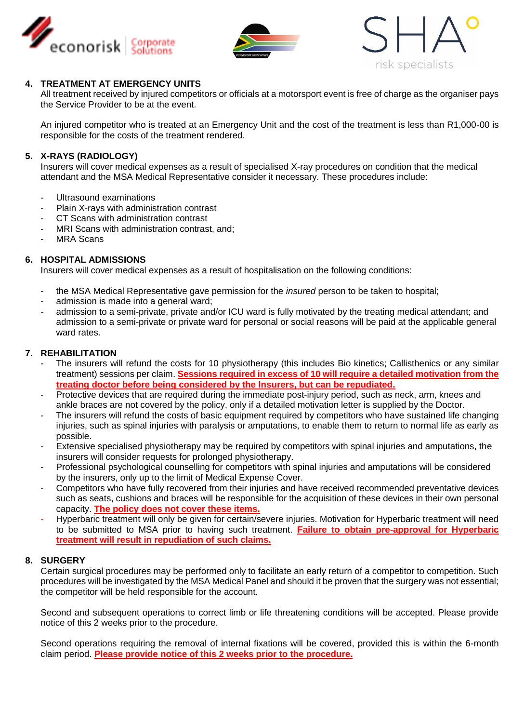





## **4. TREATMENT AT EMERGENCY UNITS**

All treatment received by injured competitors or officials at a motorsport event is free of charge as the organiser pays the Service Provider to be at the event.

An injured competitor who is treated at an Emergency Unit and the cost of the treatment is less than R1,000-00 is responsible for the costs of the treatment rendered.

## **5. X-RAYS (RADIOLOGY)**

Insurers will cover medical expenses as a result of specialised X-ray procedures on condition that the medical attendant and the MSA Medical Representative consider it necessary. These procedures include:

- Ultrasound examinations
- Plain X-rays with administration contrast
- CT Scans with administration contrast
- MRI Scans with administration contrast, and;
- MRA Scans

#### **6. HOSPITAL ADMISSIONS**

Insurers will cover medical expenses as a result of hospitalisation on the following conditions:

- the MSA Medical Representative gave permission for the *insured* person to be taken to hospital;
- admission is made into a general ward;
- admission to a semi-private, private and/or ICU ward is fully motivated by the treating medical attendant; and admission to a semi-private or private ward for personal or social reasons will be paid at the applicable general ward rates.

## **7. REHABILITATION**

- The insurers will refund the costs for 10 physiotherapy (this includes Bio kinetics; Callisthenics or any similar treatment) sessions per claim. **Sessions required in excess of 10 will require a detailed motivation from the treating doctor before being considered by the Insurers, but can be repudiated.**
- Protective devices that are required during the immediate post-injury period, such as neck, arm, knees and ankle braces are not covered by the policy, only if a detailed motivation letter is supplied by the Doctor.
- The insurers will refund the costs of basic equipment required by competitors who have sustained life changing injuries, such as spinal injuries with paralysis or amputations, to enable them to return to normal life as early as possible.
- Extensive specialised physiotherapy may be required by competitors with spinal injuries and amputations, the insurers will consider requests for prolonged physiotherapy.
- Professional psychological counselling for competitors with spinal injuries and amputations will be considered by the insurers, only up to the limit of Medical Expense Cover.
- Competitors who have fully recovered from their injuries and have received recommended preventative devices such as seats, cushions and braces will be responsible for the acquisition of these devices in their own personal capacity. **The policy does not cover these items.**
- Hyperbaric treatment will only be given for certain/severe injuries. Motivation for Hyperbaric treatment will need to be submitted to MSA prior to having such treatment. **Failure to obtain pre-approval for Hyperbaric treatment will result in repudiation of such claims.**

#### **8. SURGERY**

Certain surgical procedures may be performed only to facilitate an early return of a competitor to competition. Such procedures will be investigated by the MSA Medical Panel and should it be proven that the surgery was not essential; the competitor will be held responsible for the account.

Second and subsequent operations to correct limb or life threatening conditions will be accepted. Please provide notice of this 2 weeks prior to the procedure.

Second operations requiring the removal of internal fixations will be covered, provided this is within the 6-month claim period. **Please provide notice of this 2 weeks prior to the procedure.**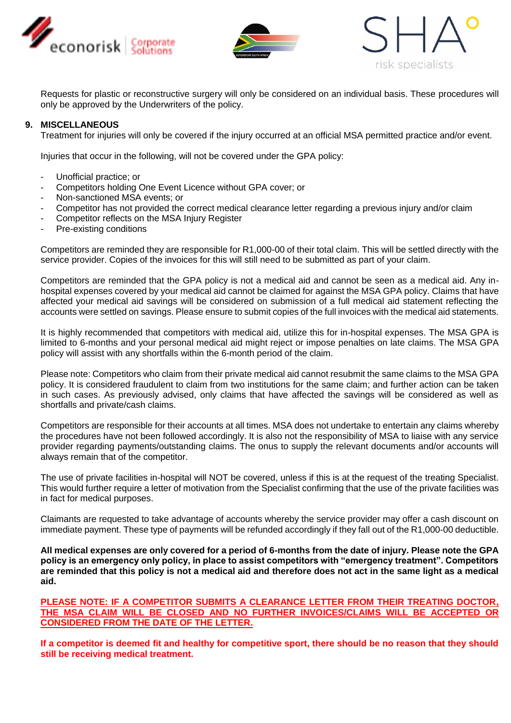





Requests for plastic or reconstructive surgery will only be considered on an individual basis. These procedures will only be approved by the Underwriters of the policy.

#### **9. MISCELLANEOUS**

Treatment for injuries will only be covered if the injury occurred at an official MSA permitted practice and/or event.

Injuries that occur in the following, will not be covered under the GPA policy:

- Unofficial practice; or
- Competitors holding One Event Licence without GPA cover; or
- Non-sanctioned MSA events; or
- Competitor has not provided the correct medical clearance letter regarding a previous injury and/or claim
- Competitor reflects on the MSA Injury Register
- Pre-existing conditions

Competitors are reminded they are responsible for R1,000-00 of their total claim. This will be settled directly with the service provider. Copies of the invoices for this will still need to be submitted as part of your claim.

Competitors are reminded that the GPA policy is not a medical aid and cannot be seen as a medical aid. Any inhospital expenses covered by your medical aid cannot be claimed for against the MSA GPA policy. Claims that have affected your medical aid savings will be considered on submission of a full medical aid statement reflecting the accounts were settled on savings. Please ensure to submit copies of the full invoices with the medical aid statements.

It is highly recommended that competitors with medical aid, utilize this for in-hospital expenses. The MSA GPA is limited to 6-months and your personal medical aid might reject or impose penalties on late claims. The MSA GPA policy will assist with any shortfalls within the 6-month period of the claim.

Please note: Competitors who claim from their private medical aid cannot resubmit the same claims to the MSA GPA policy. It is considered fraudulent to claim from two institutions for the same claim; and further action can be taken in such cases. As previously advised, only claims that have affected the savings will be considered as well as shortfalls and private/cash claims.

Competitors are responsible for their accounts at all times. MSA does not undertake to entertain any claims whereby the procedures have not been followed accordingly. It is also not the responsibility of MSA to liaise with any service provider regarding payments/outstanding claims. The onus to supply the relevant documents and/or accounts will always remain that of the competitor.

The use of private facilities in-hospital will NOT be covered, unless if this is at the request of the treating Specialist. This would further require a letter of motivation from the Specialist confirming that the use of the private facilities was in fact for medical purposes.

Claimants are requested to take advantage of accounts whereby the service provider may offer a cash discount on immediate payment. These type of payments will be refunded accordingly if they fall out of the R1,000-00 deductible.

**All medical expenses are only covered for a period of 6-months from the date of injury. Please note the GPA policy is an emergency only policy, in place to assist competitors with "emergency treatment". Competitors are reminded that this policy is not a medical aid and therefore does not act in the same light as a medical aid.** 

**PLEASE NOTE: IF A COMPETITOR SUBMITS A CLEARANCE LETTER FROM THEIR TREATING DOCTOR, THE MSA CLAIM WILL BE CLOSED AND NO FURTHER INVOICES/CLAIMS WILL BE ACCEPTED OR CONSIDERED FROM THE DATE OF THE LETTER.**

**If a competitor is deemed fit and healthy for competitive sport, there should be no reason that they should still be receiving medical treatment.**